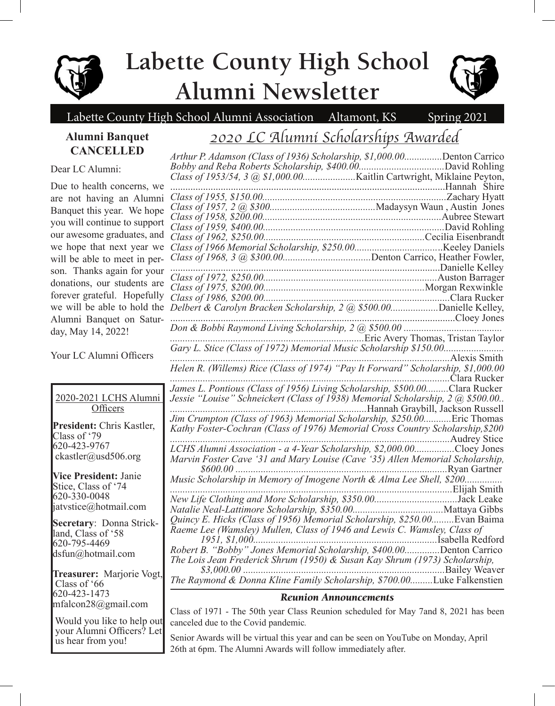

# **Labette County High School Alumni Newsletter**



## Labette County High School Alumni Association Altamont, KS Spring 2021

### **Alumni Banquet CANCELLED**

## *2020 LC Alumni Scholarships Awarded*

*Arthur P. Adamson (Class of 1936) Scholarship, \$1,000.00...............*Denton Carrico

Dear LC Alumni:

Due to health concerns, we are not having an Alumni Banquet this year. We hope you will continue to support our awesome graduates, and we hope that next year we will be able to meet in person. Thanks again for your donations, our students are forever grateful. Hopefully we will be able to hold the Alumni Banquet on Saturday, May 14, 2022!

Your LC Alumni Officers

2020-2021 LCHS Alumni **Officers** 

**President:** Chris Kastler, Class of '79 620-423-9767 ckastler@usd506.org

**Vice President:** Janie Stice, Class of '74 620-330-0048 jatvstice@hotmail.com

**Secretary**: Donna Strick- land, Class of '58 620-795-4469 dsfun@hotmail.com

**Treasurer:** Marjorie Vogt, Class of '66 620-423-1473 mfalcon28@gmail.com

 Would you like to help out your Alumni Officers? Let us hear from you!

| James L. Pontious (Class of 1956) Living Scholarship, \$500.00Clara Rucker     |  |
|--------------------------------------------------------------------------------|--|
| Jessie "Louise" Schneickert (Class of 1938) Memorial Scholarship, 2 @ \$500.00 |  |
| The Crumpton (Class of 1963) Memorial Scholarship, \$250.00Eric Thomas         |  |
|                                                                                |  |
| Kathy Foster-Cochran (Class of 1976) Memorial Cross Country Scholarship, \$200 |  |
|                                                                                |  |
| LCHS Alumni Association - a 4-Year Scholarship, \$2,000.00Cloey Jones          |  |
|                                                                                |  |
|                                                                                |  |
|                                                                                |  |
|                                                                                |  |
|                                                                                |  |
|                                                                                |  |
| Quincy E. Hicks (Class of 1956) Memorial Scholarship, \$250.00 Evan Baima      |  |
|                                                                                |  |
|                                                                                |  |
| Robert B. "Bobby" Jones Memorial Scholarship, \$400.00Denton Carrico           |  |
| The Lois Jean Frederick Shrum (1950) & Susan Kay Shrum (1973) Scholarship,     |  |
|                                                                                |  |
| The Raymond & Donna Kline Family Scholarship, \$700.00Luke Falkenstien         |  |

#### *Reunion Announcements*

Class of 1971 - The 50th year Class Reunion scheduled for May 7and 8, 2021 has been canceled due to the Covid pandemic*.*

Senior Awards will be virtual this year and can be seen on YouTube on Monday, April 26th at 6pm. The Alumni Awards will follow immediately after.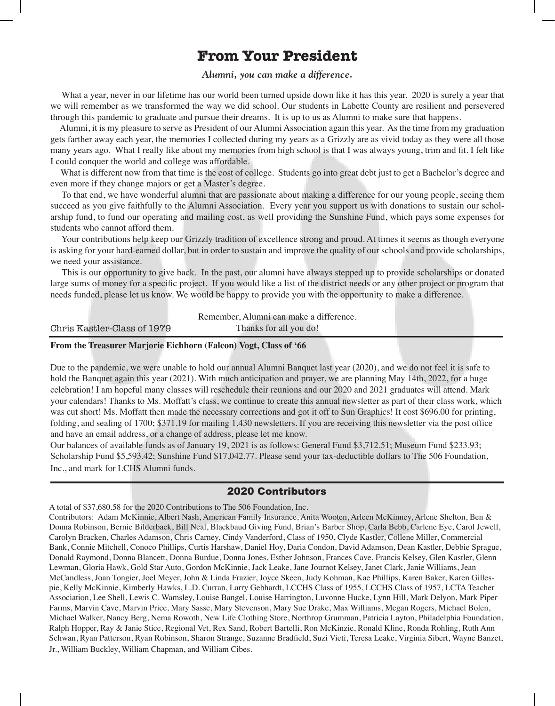## **From Your President**

#### *Alumni, you can make a difference.*

What a year, never in our lifetime has our world been turned upside down like it has this year. 2020 is surely a year that we will remember as we transformed the way we did school. Our students in Labette County are resilient and persevered through this pandemic to graduate and pursue their dreams. It is up to us as Alumni to make sure that happens.

 Alumni, it is my pleasure to serve as President of our Alumni Association again this year. As the time from my graduation gets farther away each year, the memories I collected during my years as a Grizzly are as vivid today as they were all those many years ago. What I really like about my memories from high school is that I was always young, trim and fit. I felt like I could conquer the world and college was affordable.

What is different now from that time is the cost of college. Students go into great debt just to get a Bachelor's degree and even more if they change majors or get a Master's degree.

 To that end, we have wonderful alumni that are passionate about making a difference for our young people, seeing them succeed as you give faithfully to the Alumni Association. Every year you support us with donations to sustain our scholarship fund, to fund our operating and mailing cost, as well providing the Sunshine Fund, which pays some expenses for students who cannot afford them.

 Your contributions help keep our Grizzly tradition of excellence strong and proud. At times it seems as though everyone is asking for your hard-earned dollar, but in order to sustain and improve the quality of our schools and provide scholarships, we need your assistance.

 This is our opportunity to give back. In the past, our alumni have always stepped up to provide scholarships or donated large sums of money for a specific project. If you would like a list of the district needs or any other project or program that needs funded, please let us know. We would be happy to provide you with the opportunity to make a difference.

| Remember, Alumni can make a difference. |                        |  |
|-----------------------------------------|------------------------|--|
| Chris Kastler-Class of 1979             | Thanks for all you do! |  |

#### **From the Treasurer Marjorie Eichhorn (Falcon) Vogt, Class of '66**

Due to the pandemic, we were unable to hold our annual Alumni Banquet last year (2020), and we do not feel it is safe to hold the Banquet again this year (2021). With much anticipation and prayer, we are planning May 14th, 2022, for a huge celebration! I am hopeful many classes will reschedule their reunions and our 2020 and 2021 graduates will attend. Mark your calendars! Thanks to Ms. Moffatt's class, we continue to create this annual newsletter as part of their class work, which was cut short! Ms. Moffatt then made the necessary corrections and got it off to Sun Graphics! It cost \$696.00 for printing, folding, and sealing of 1700; \$371.19 for mailing 1,430 newsletters. If you are receiving this newsletter via the post office and have an email address, or a change of address, please let me know.

Our balances of available funds as of January 19, 2021 is as follows: General Fund \$3,712.51; Museum Fund \$233.93; Scholarship Fund \$5,593.42; Sunshine Fund \$17,042.77. Please send your tax-deductible dollars to The 506 Foundation, Inc., and mark for LCHS Alumni funds.

#### 2020 Contributors

A total of \$37,680.58 for the 2020 Contributions to The 506 Foundation, Inc.

Contributors: Adam McKinnie, Albert Nash, American Family Insurance, Anita Wooten, Arleen McKinney, Arlene Shelton, Ben & Donna Robinson, Bernie Bilderback, Bill Neal, Blackbaud Giving Fund, Brian's Barber Shop, Carla Bebb, Carlene Eye, Carol Jewell, Carolyn Bracken, Charles Adamson, Chris Carney, Cindy Vanderford, Class of 1950, Clyde Kastler, Collene Miller, Commercial Bank, Connie Mitchell, Conoco Phillips, Curtis Harshaw, Daniel Hoy, Daria Condon, David Adamson, Dean Kastler, Debbie Sprague, Donald Raymond, Donna Blancett, Donna Burdue, Donna Jones, Esther Johnson, Frances Cave, Francis Kelsey, Glen Kastler, Glenn Lewman, Gloria Hawk, Gold Star Auto, Gordon McKinnie, Jack Leake, Jane Journot Kelsey, Janet Clark, Janie Williams, Jean McCandless, Joan Tongier, Joel Meyer, John & Linda Frazier, Joyce Skeen, Judy Kohman, Kae Phillips, Karen Baker, Karen Gillespie, Kelly McKinnie, Kimberly Hawks, L.D. Curran, Larry Gebhardt, LCCHS Class of 1955, LCCHS Class of 1957, LCTA Teacher Association, Lee Shell, Lewis C. Wamsley, Louise Bangel, Louise Harrington, Luvonne Hucke, Lynn Hill, Mark Delyon, Mark Piper Farms, Marvin Cave, Marvin Price, Mary Sasse, Mary Stevenson, Mary Sue Drake, Max Williams, Megan Rogers, Michael Bolen, Michael Walker, Nancy Berg, Nema Rowoth, New Life Clothing Store, Northrop Grumman, Patricia Layton, Philadelphia Foundation, Ralph Hopper, Ray & Janie Stice, Regional Vet, Rex Sand, Robert Bartelli, Ron McKinzie, Ronald Kline, Ronda Rohling, Ruth Ann Schwan, Ryan Patterson, Ryan Robinson, Sharon Strange, Suzanne Bradfield, Suzi Vieti, Teresa Leake, Virginia Sibert, Wayne Banzet, Jr., William Buckley, William Chapman, and William Cibes.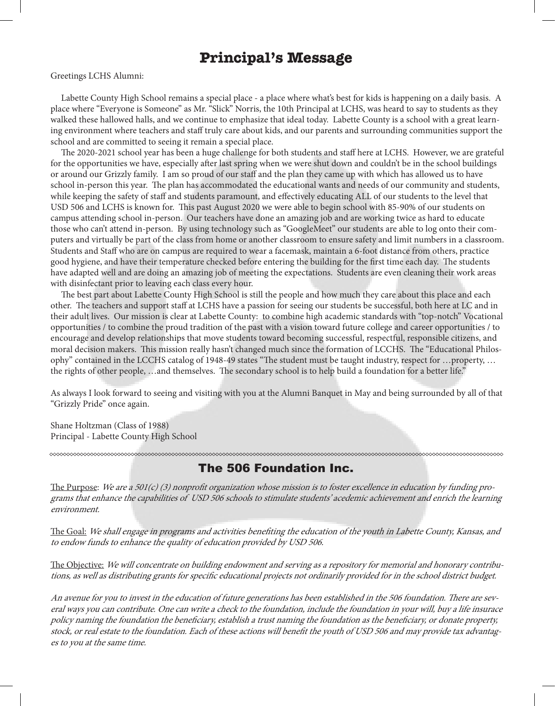## **Principal's Message**

Greetings LCHS Alumni:

 Labette County High School remains a special place - a place where what's best for kids is happening on a daily basis. A place where "Everyone is Someone" as Mr. "Slick" Norris, the 10th Principal at LCHS, was heard to say to students as they walked these hallowed halls, and we continue to emphasize that ideal today. Labette County is a school with a great learning environment where teachers and staff truly care about kids, and our parents and surrounding communities support the school and are committed to seeing it remain a special place.

 The 2020-2021 school year has been a huge challenge for both students and staff here at LCHS. However, we are grateful for the opportunities we have, especially after last spring when we were shut down and couldn't be in the school buildings or around our Grizzly family. I am so proud of our staff and the plan they came up with which has allowed us to have school in-person this year. The plan has accommodated the educational wants and needs of our community and students, while keeping the safety of staff and students paramount, and effectively educating ALL of our students to the level that USD 506 and LCHS is known for. This past August 2020 we were able to begin school with 85-90% of our students on campus attending school in-person. Our teachers have done an amazing job and are working twice as hard to educate those who can't attend in-person. By using technology such as "GoogleMeet" our students are able to log onto their computers and virtually be part of the class from home or another classroom to ensure safety and limit numbers in a classroom. Students and Staff who are on campus are required to wear a facemask, maintain a 6-foot distance from others, practice good hygiene, and have their temperature checked before entering the building for the first time each day. The students have adapted well and are doing an amazing job of meeting the expectations. Students are even cleaning their work areas with disinfectant prior to leaving each class every hour.

 The best part about Labette County High School is still the people and how much they care about this place and each other. The teachers and support staff at LCHS have a passion for seeing our students be successful, both here at LC and in their adult lives. Our mission is clear at Labette County: to combine high academic standards with "top-notch" Vocational opportunities / to combine the proud tradition of the past with a vision toward future college and career opportunities / to encourage and develop relationships that move students toward becoming successful, respectful, responsible citizens, and moral decision makers. This mission really hasn't changed much since the formation of LCCHS. The "Educational Philosophy" contained in the LCCHS catalog of 1948-49 states "The student must be taught industry, respect for …property, … the rights of other people, …and themselves. The secondary school is to help build a foundation for a better life."

As always I look forward to seeing and visiting with you at the Alumni Banquet in May and being surrounded by all of that "Grizzly Pride" once again.

Shane Holtzman (Class of 1988) Principal - Labette County High School

The 506 Foundation Inc.

The Purpose: We are a 501(c) (3) nonprofit organization whose mission is to foster excellence in education by funding programs that enhance the capabilities of USD 506 schools to stimulate students' acedemic achievement and enrich the learning environment.

The Goal: We shall engage in programs and activities benefiting the education of the youth in Labette County, Kansas, and to endow funds to enhance the quality of education provided by USD 506.

The Objective: We will concentrate on building endowment and serving as a repository for memorial and honorary contributions, as well as distributing grants for specific educational projects not ordinarily provided for in the school district budget.

An avenue for you to invest in the education of future generations has been established in the 506 foundation. There are several ways you can contribute. One can write a check to the foundation, include the foundation in your will, buy a life insurace policy naming the foundation the beneficiary, establish a trust naming the foundation as the beneficiary, or donate property, stock, or real estate to the foundation. Each of these actions will benefit the youth of USD 506 and may provide tax advantages to you at the same time.